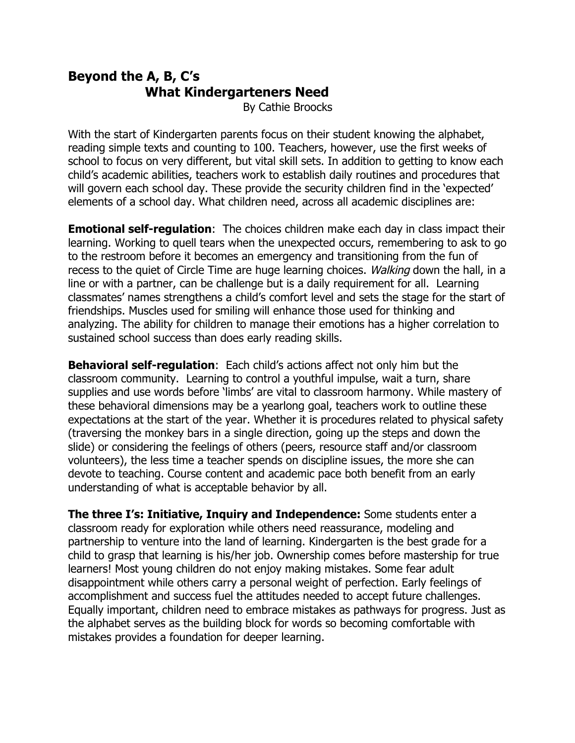## **Beyond the A, B, C's What Kindergarteners Need**

By Cathie Broocks

With the start of Kindergarten parents focus on their student knowing the alphabet, reading simple texts and counting to 100. Teachers, however, use the first weeks of school to focus on very different, but vital skill sets. In addition to getting to know each child's academic abilities, teachers work to establish daily routines and procedures that will govern each school day. These provide the security children find in the 'expected' elements of a school day. What children need, across all academic disciplines are:

**Emotional self-regulation**: The choices children make each day in class impact their learning. Working to quell tears when the unexpected occurs, remembering to ask to go to the restroom before it becomes an emergency and transitioning from the fun of recess to the quiet of Circle Time are huge learning choices. Walking down the hall, in a line or with a partner, can be challenge but is a daily requirement for all. Learning classmates' names strengthens a child's comfort level and sets the stage for the start of friendships. Muscles used for smiling will enhance those used for thinking and analyzing. The ability for children to manage their emotions has a higher correlation to sustained school success than does early reading skills.

**Behavioral self-regulation**: Each child's actions affect not only him but the classroom community. Learning to control a youthful impulse, wait a turn, share supplies and use words before 'limbs' are vital to classroom harmony. While mastery of these behavioral dimensions may be a yearlong goal, teachers work to outline these expectations at the start of the year. Whether it is procedures related to physical safety (traversing the monkey bars in a single direction, going up the steps and down the slide) or considering the feelings of others (peers, resource staff and/or classroom volunteers), the less time a teacher spends on discipline issues, the more she can devote to teaching. Course content and academic pace both benefit from an early understanding of what is acceptable behavior by all.

**The three I's: Initiative, Inquiry and Independence:** Some students enter a classroom ready for exploration while others need reassurance, modeling and partnership to venture into the land of learning. Kindergarten is the best grade for a child to grasp that learning is his/her job. Ownership comes before mastership for true learners! Most young children do not enjoy making mistakes. Some fear adult disappointment while others carry a personal weight of perfection. Early feelings of accomplishment and success fuel the attitudes needed to accept future challenges. Equally important, children need to embrace mistakes as pathways for progress. Just as the alphabet serves as the building block for words so becoming comfortable with mistakes provides a foundation for deeper learning.